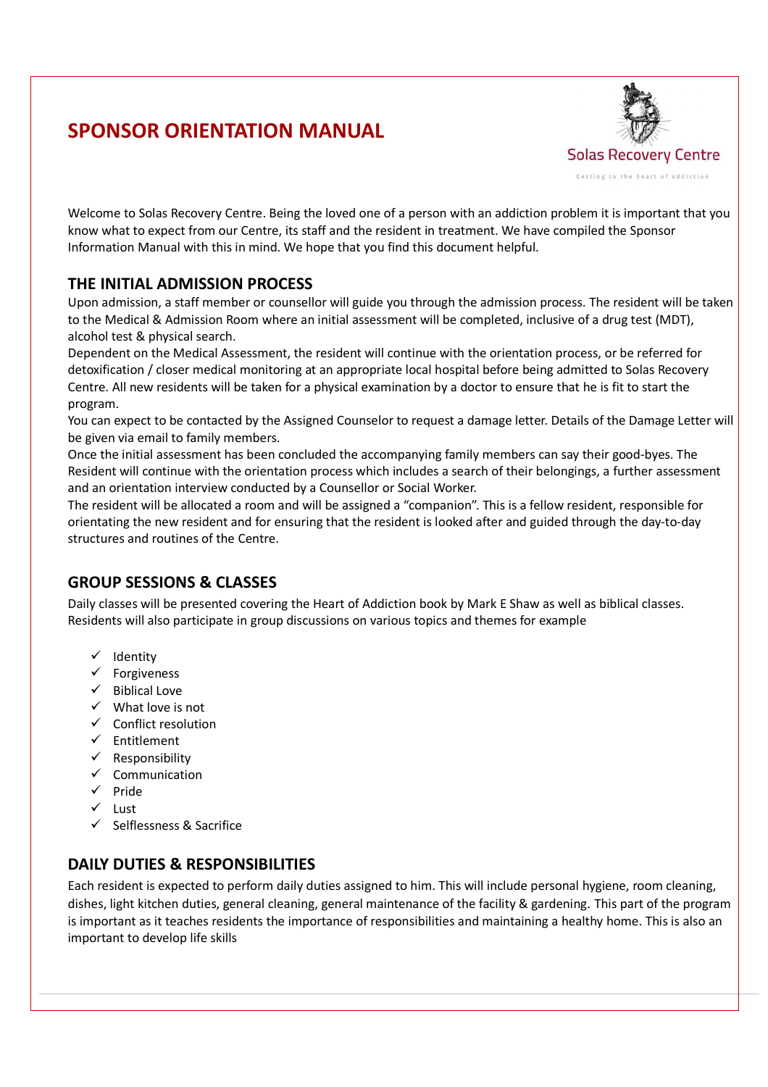# **SPONSOR ORIENTATION MANUAL**



Welcome to Solas Recovery Centre. Being the loved one of a person with an addiction problem it is important that you know what to expect from our Centre, its staff and the resident in treatment. We have compiled the Sponsor Information Manual with this in mind. We hope that you find this document helpful.

# **THE INITIAL ADMISSION PROCESS**

Upon admission, a staff member or counsellor will guide you through the admission process. The resident will be taken to the Medical & Admission Room where an initial assessment will be completed, inclusive of a drug test (MDT), alcohol test & physical search.

Dependent on the Medical Assessment, the resident will continue with the orientation process, or be referred for detoxification / closer medical monitoring at an appropriate local hospital before being admitted to Solas Recovery Centre. All new residents will be taken for a physical examination by a doctor to ensure that he is fit to start the program.

You can expect to be contacted by the Assigned Counselor to request a damage letter. Details of the Damage Letter will be given via email to family members.

Once the initial assessment has been concluded the accompanying family members can say their good-byes. The Resident will continue with the orientation process which includes a search of their belongings, a further assessment and an orientation interview conducted by a Counsellor or Social Worker.

The resident will be allocated a room and will be assigned a "companion". This is a fellow resident, responsible for orientating the new resident and for ensuring that the resident is looked after and guided through the day-to-day structures and routines of the Centre.

### **GROUP SESSIONS & CLASSES**

Daily classes will be presented covering the Heart of Addiction book by Mark E Shaw as well as biblical classes. Residents will also participate in group discussions on various topics and themes for example

- $\checkmark$  Identity
- $\checkmark$  Forgiveness
- $\checkmark$  Biblical Love
- $\checkmark$  What love is not
- $\checkmark$  Conflict resolution
- $\checkmark$  Entitlement
- $\checkmark$  Responsibility
- $\checkmark$  Communication
- $\checkmark$  Pride
- $\checkmark$  Lust
- $\checkmark$  Selflessness & Sacrifice

# **DAILY DUTIES & RESPONSIBILITIES**

Each resident is expected to perform daily duties assigned to him. This will include personal hygiene, room cleaning, dishes, light kitchen duties, general cleaning, general maintenance of the facility & gardening. This part of the program is important as it teaches residents the importance of responsibilities and maintaining a healthy home. This is also an important to develop life skills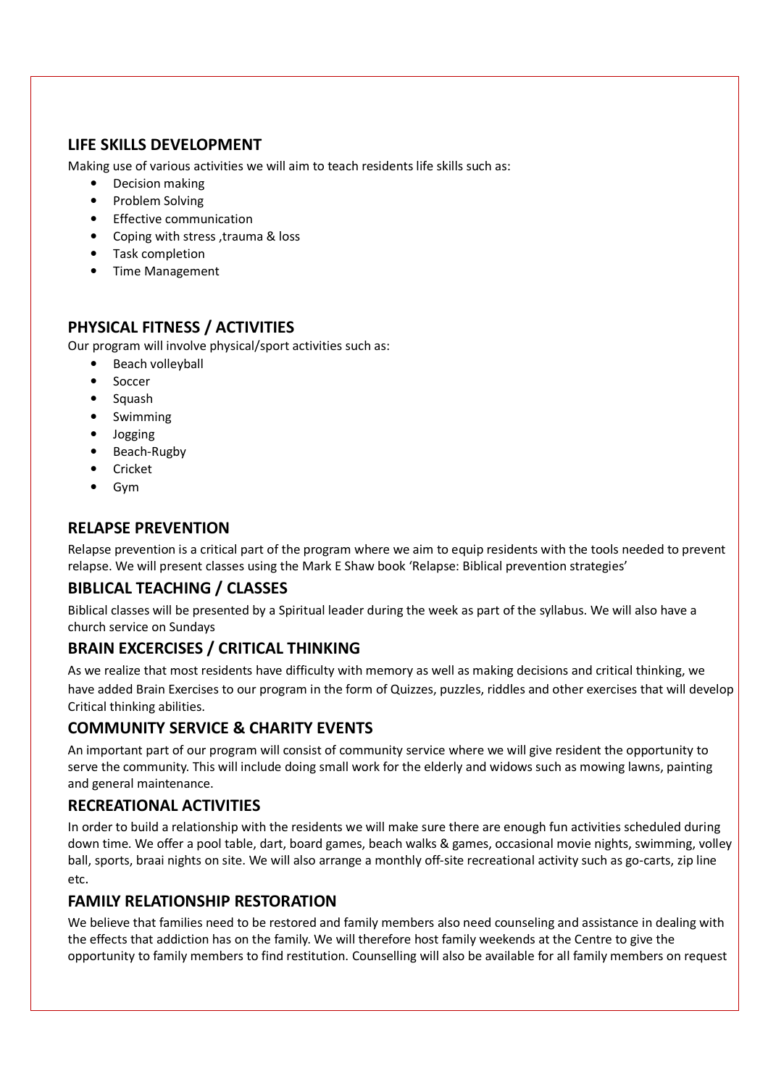# **LIFE SKILLS DEVELOPMENT**

Making use of various activities we will aim to teach residents life skills such as:

- Decision making
- Problem Solving
- Effective communication
- Coping with stress , trauma & loss
- Task completion
- Time Management

# **PHYSICAL FITNESS / ACTIVITIES**

Our program will involve physical/sport activities such as:

- Beach volleyball
- Soccer
- Squash
- Swimming
- Jogging
- Beach-Rugby
- Cricket
- Gym

# **RELAPSE PREVENTION**

Relapse prevention is a critical part of the program where we aim to equip residents with the tools needed to prevent relapse. We will present classes using the Mark E Shaw book 'Relapse: Biblical prevention strategies'

# **BIBLICAL TEACHING / CLASSES**

Biblical classes will be presented by a Spiritual leader during the week as part of the syllabus. We will also have a church service on Sundays

# **BRAIN EXCERCISES / CRITICAL THINKING**

As we realize that most residents have difficulty with memory as well as making decisions and critical thinking, we have added Brain Exercises to our program in the form of Quizzes, puzzles, riddles and other exercises that will develop Critical thinking abilities.

# **COMMUNITY SERVICE & CHARITY EVENTS**

An important part of our program will consist of community service where we will give resident the opportunity to serve the community. This will include doing small work for the elderly and widows such as mowing lawns, painting and general maintenance.

# **RECREATIONAL ACTIVITIES**

In order to build a relationship with the residents we will make sure there are enough fun activities scheduled during down time. We offer a pool table, dart, board games, beach walks & games, occasional movie nights, swimming, volley ball, sports, braai nights on site. We will also arrange a monthly off-site recreational activity such as go-carts, zip line etc.

# **FAMILY RELATIONSHIP RESTORATION**

We believe that families need to be restored and family members also need counseling and assistance in dealing with the effects that addiction has on the family. We will therefore host family weekends at the Centre to give the opportunity to family members to find restitution. Counselling will also be available for all family members on request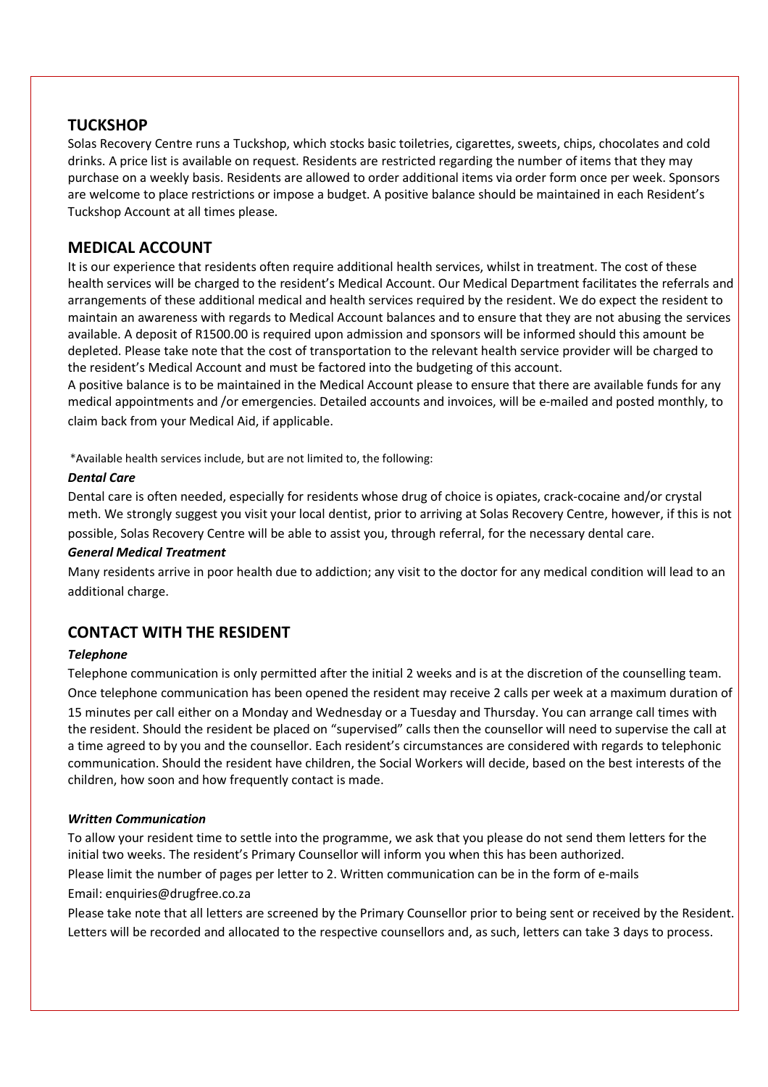### **TUCKSHOP**

Solas Recovery Centre runs a Tuckshop, which stocks basic toiletries, cigarettes, sweets, chips, chocolates and cold drinks. A price list is available on request. Residents are restricted regarding the number of items that they may purchase on a weekly basis. Residents are allowed to order additional items via order form once per week. Sponsors are welcome to place restrictions or impose a budget. A positive balance should be maintained in each Resident's Tuckshop Account at all times please.

### **MEDICAL ACCOUNT**

It is our experience that residents often require additional health services, whilst in treatment. The cost of these health services will be charged to the resident's Medical Account. Our Medical Department facilitates the referrals and arrangements of these additional medical and health services required by the resident. We do expect the resident to maintain an awareness with regards to Medical Account balances and to ensure that they are not abusing the services available. A deposit of R1500.00 is required upon admission and sponsors will be informed should this amount be depleted. Please take note that the cost of transportation to the relevant health service provider will be charged to the resident's Medical Account and must be factored into the budgeting of this account.

A positive balance is to be maintained in the Medical Account please to ensure that there are available funds for any medical appointments and /or emergencies. Detailed accounts and invoices, will be e-mailed and posted monthly, to claim back from your Medical Aid, if applicable.

 \*Available health services include, but are not limited to, the following:

#### *Dental Care*

Dental care is often needed, especially for residents whose drug of choice is opiates, crack-cocaine and/or crystal meth. We strongly suggest you visit your local dentist, prior to arriving at Solas Recovery Centre, however, if this is not possible, Solas Recovery Centre will be able to assist you, through referral, for the necessary dental care.

#### *General Medical Treatment*

Many residents arrive in poor health due to addiction; any visit to the doctor for any medical condition will lead to an additional charge.

# **CONTACT WITH THE RESIDENT**

#### *Telephone*

Telephone communication is only permitted after the initial 2 weeks and is at the discretion of the counselling team. Once telephone communication has been opened the resident may receive 2 calls per week at a maximum duration of 15 minutes per call either on a Monday and Wednesday or a Tuesday and Thursday. You can arrange call times with the resident. Should the resident be placed on "supervised" calls then the counsellor will need to supervise the call at a time agreed to by you and the counsellor. Each resident's circumstances are considered with regards to telephonic communication. Should the resident have children, the Social Workers will decide, based on the best interests of the children, how soon and how frequently contact is made.

#### *Written Communication*

To allow your resident time to settle into the programme, we ask that you please do not send them letters for the initial two weeks. The resident's Primary Counsellor will inform you when this has been authorized. Please limit the number of pages per letter to 2. Written communication can be in the form of e-mails Email: enquiries@drugfree.co.za

Please take note that all letters are screened by the Primary Counsellor prior to being sent or received by the Resident. Letters will be recorded and allocated to the respective counsellors and, as such, letters can take 3 days to process.